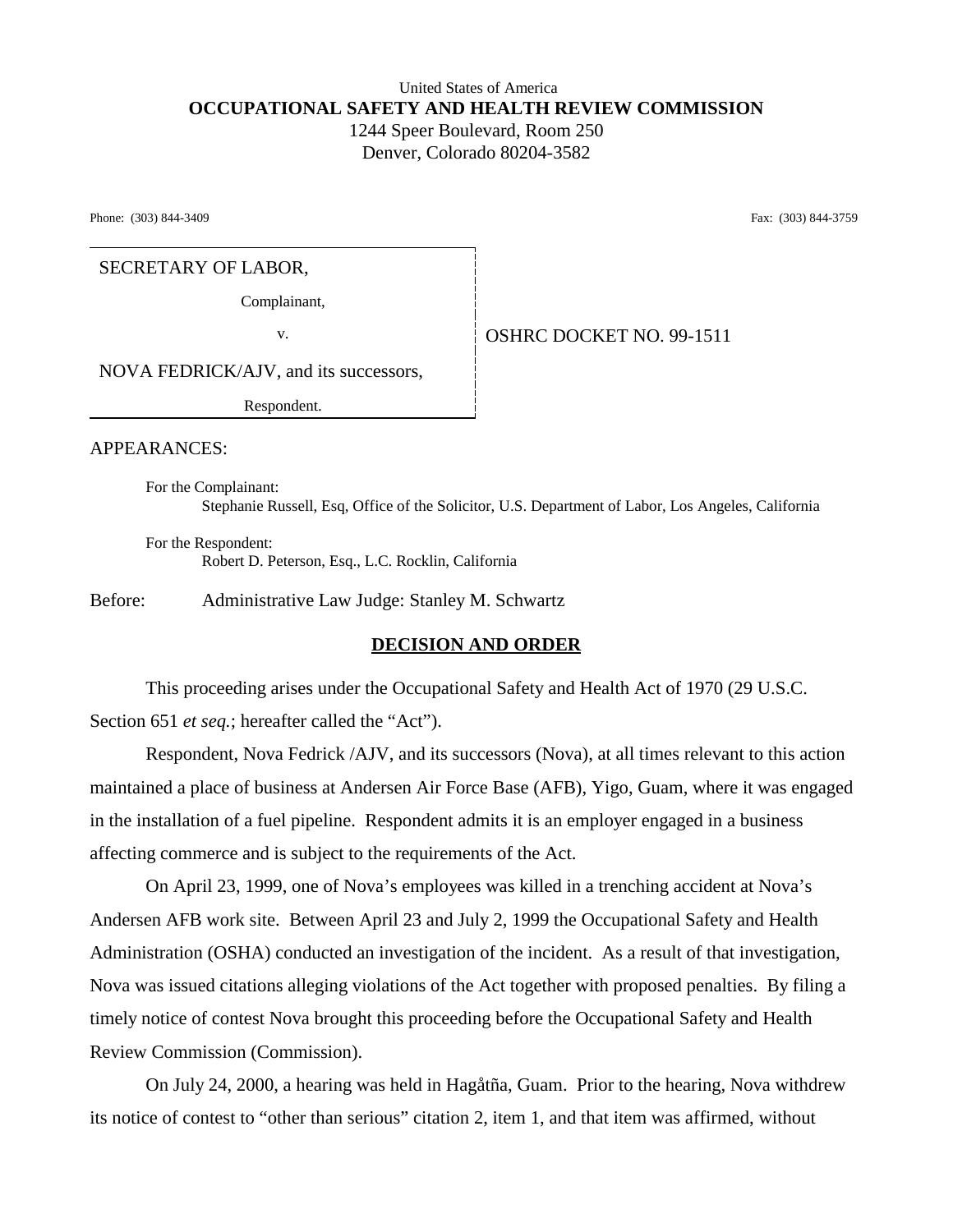## United States of America **OCCUPATIONAL SAFETY AND HEALTH REVIEW COMMISSION** 1244 Speer Boulevard, Room 250 Denver, Colorado 80204-3582

Phone: (303) 844-3409 Fax: (303) 844-3759

#### SECRETARY OF LABOR,

Complainant,

v. **CONSERVER SERVICE OF A SERVICE OF A SERVICE OF A SERVICE OF A SERVICE OF A SERVICE OF A SERVICE OF A SERVICE OF A SERVICE OF A SERVICE OF A SERVICE OF A SERVICE OF A SERVICE OF A SERVICE OF A SERVICE OF A SERVICE OF A** 

NOVA FEDRICK/AJV, and its successors,

Respondent.

APPEARANCES:

For the Complainant: Stephanie Russell, Esq, Office of the Solicitor, U.S. Department of Labor, Los Angeles, California

For the Respondent: Robert D. Peterson, Esq., L.C. Rocklin, California

Before: Administrative Law Judge: Stanley M. Schwartz

## **DECISION AND ORDER**

This proceeding arises under the Occupational Safety and Health Act of 1970 (29 U.S.C. Section 651 *et seq.*; hereafter called the "Act").

Respondent, Nova Fedrick /AJV, and its successors (Nova), at all times relevant to this action maintained a place of business at Andersen Air Force Base (AFB), Yigo, Guam, where it was engaged in the installation of a fuel pipeline. Respondent admits it is an employer engaged in a business affecting commerce and is subject to the requirements of the Act.

On April 23, 1999, one of Nova's employees was killed in a trenching accident at Nova's Andersen AFB work site. Between April 23 and July 2, 1999 the Occupational Safety and Health Administration (OSHA) conducted an investigation of the incident. As a result of that investigation, Nova was issued citations alleging violations of the Act together with proposed penalties. By filing a timely notice of contest Nova brought this proceeding before the Occupational Safety and Health Review Commission (Commission).

On July 24, 2000, a hearing was held in Hagåtña, Guam. Prior to the hearing, Nova withdrew its notice of contest to "other than serious" citation 2, item 1, and that item was affirmed, without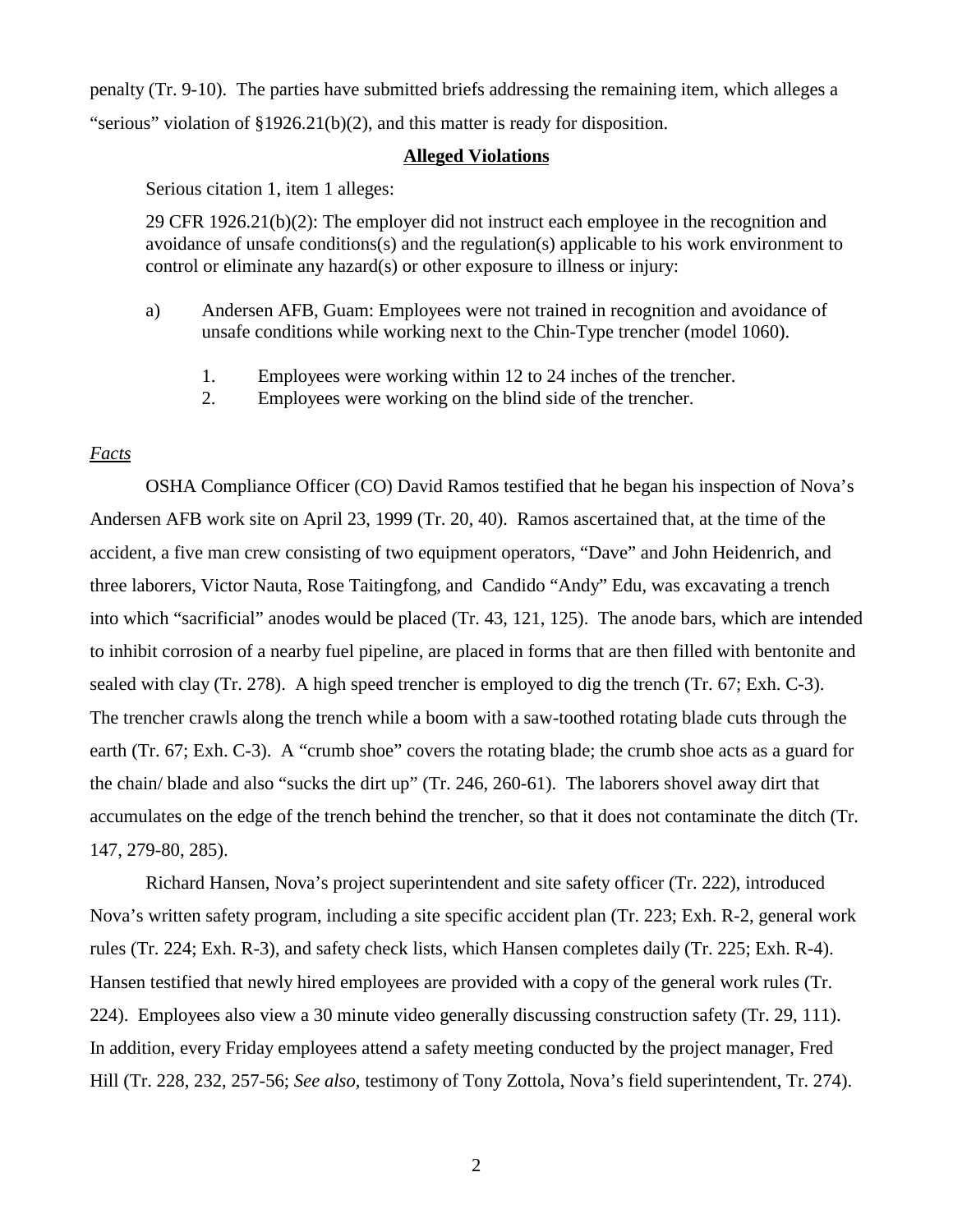penalty (Tr. 9-10). The parties have submitted briefs addressing the remaining item, which alleges a "serious" violation of §1926.21(b)(2), and this matter is ready for disposition.

#### **Alleged Violations**

Serious citation 1, item 1 alleges:

29 CFR 1926.21(b)(2): The employer did not instruct each employee in the recognition and avoidance of unsafe conditions(s) and the regulation(s) applicable to his work environment to control or eliminate any hazard(s) or other exposure to illness or injury:

- a) Andersen AFB, Guam: Employees were not trained in recognition and avoidance of unsafe conditions while working next to the Chin-Type trencher (model 1060).
	- 1. Employees were working within 12 to 24 inches of the trencher.
	- 2. Employees were working on the blind side of the trencher.

## *Facts*

OSHA Compliance Officer (CO) David Ramos testified that he began his inspection of Nova's Andersen AFB work site on April 23, 1999 (Tr. 20, 40). Ramos ascertained that, at the time of the accident, a five man crew consisting of two equipment operators, "Dave" and John Heidenrich, and three laborers, Victor Nauta, Rose Taitingfong, and Candido "Andy" Edu, was excavating a trench into which "sacrificial" anodes would be placed (Tr. 43, 121, 125). The anode bars, which are intended to inhibit corrosion of a nearby fuel pipeline, are placed in forms that are then filled with bentonite and sealed with clay (Tr. 278). A high speed trencher is employed to dig the trench (Tr. 67; Exh. C-3). The trencher crawls along the trench while a boom with a saw-toothed rotating blade cuts through the earth (Tr. 67; Exh. C-3). A "crumb shoe" covers the rotating blade; the crumb shoe acts as a guard for the chain/ blade and also "sucks the dirt up" (Tr. 246, 260-61). The laborers shovel away dirt that accumulates on the edge of the trench behind the trencher, so that it does not contaminate the ditch (Tr. 147, 279-80, 285).

Richard Hansen, Nova's project superintendent and site safety officer (Tr. 222), introduced Nova's written safety program, including a site specific accident plan (Tr. 223; Exh. R-2, general work rules (Tr. 224; Exh. R-3), and safety check lists, which Hansen completes daily (Tr. 225; Exh. R-4). Hansen testified that newly hired employees are provided with a copy of the general work rules (Tr. 224). Employees also view a 30 minute video generally discussing construction safety (Tr. 29, 111). In addition, every Friday employees attend a safety meeting conducted by the project manager, Fred Hill (Tr. 228, 232, 257-56; *See also,* testimony of Tony Zottola, Nova's field superintendent, Tr. 274).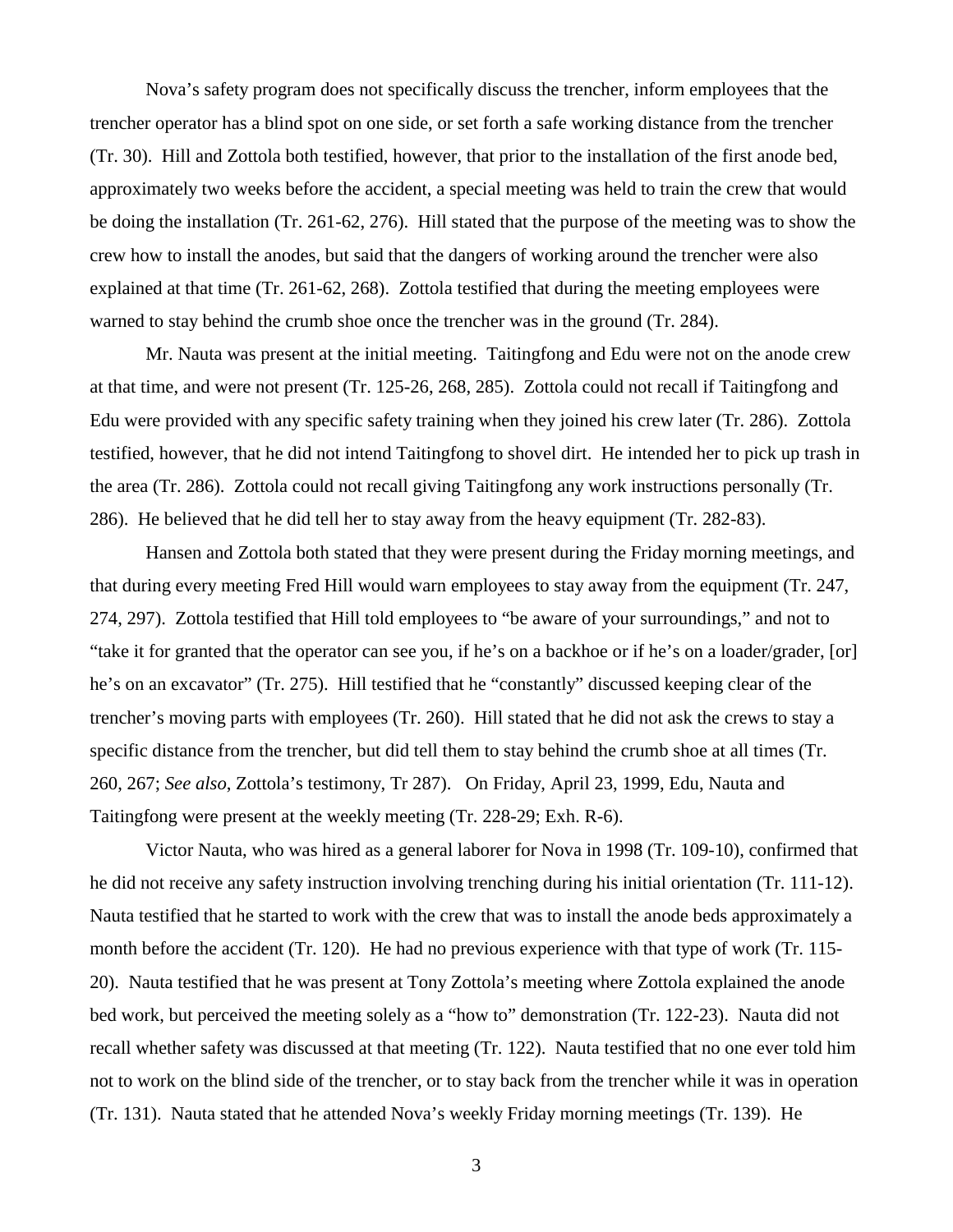Nova's safety program does not specifically discuss the trencher, inform employees that the trencher operator has a blind spot on one side, or set forth a safe working distance from the trencher (Tr. 30). Hill and Zottola both testified, however, that prior to the installation of the first anode bed, approximately two weeks before the accident, a special meeting was held to train the crew that would be doing the installation (Tr. 261-62, 276). Hill stated that the purpose of the meeting was to show the crew how to install the anodes, but said that the dangers of working around the trencher were also explained at that time (Tr. 261-62, 268). Zottola testified that during the meeting employees were warned to stay behind the crumb shoe once the trencher was in the ground (Tr. 284).

Mr. Nauta was present at the initial meeting. Taitingfong and Edu were not on the anode crew at that time, and were not present (Tr. 125-26, 268, 285). Zottola could not recall if Taitingfong and Edu were provided with any specific safety training when they joined his crew later (Tr. 286). Zottola testified, however, that he did not intend Taitingfong to shovel dirt. He intended her to pick up trash in the area (Tr. 286). Zottola could not recall giving Taitingfong any work instructions personally (Tr. 286). He believed that he did tell her to stay away from the heavy equipment (Tr. 282-83).

Hansen and Zottola both stated that they were present during the Friday morning meetings, and that during every meeting Fred Hill would warn employees to stay away from the equipment (Tr. 247, 274, 297). Zottola testified that Hill told employees to "be aware of your surroundings," and not to "take it for granted that the operator can see you, if he's on a backhoe or if he's on a loader/grader, [or] he's on an excavator" (Tr. 275). Hill testified that he "constantly" discussed keeping clear of the trencher's moving parts with employees (Tr. 260). Hill stated that he did not ask the crews to stay a specific distance from the trencher, but did tell them to stay behind the crumb shoe at all times (Tr. 260, 267; *See also*, Zottola's testimony, Tr 287). On Friday, April 23, 1999, Edu, Nauta and Taitingfong were present at the weekly meeting (Tr. 228-29; Exh. R-6).

Victor Nauta, who was hired as a general laborer for Nova in 1998 (Tr. 109-10), confirmed that he did not receive any safety instruction involving trenching during his initial orientation (Tr. 111-12). Nauta testified that he started to work with the crew that was to install the anode beds approximately a month before the accident (Tr. 120). He had no previous experience with that type of work (Tr. 115- 20). Nauta testified that he was present at Tony Zottola's meeting where Zottola explained the anode bed work, but perceived the meeting solely as a "how to" demonstration (Tr. 122-23). Nauta did not recall whether safety was discussed at that meeting (Tr. 122). Nauta testified that no one ever told him not to work on the blind side of the trencher, or to stay back from the trencher while it was in operation (Tr. 131). Nauta stated that he attended Nova's weekly Friday morning meetings (Tr. 139). He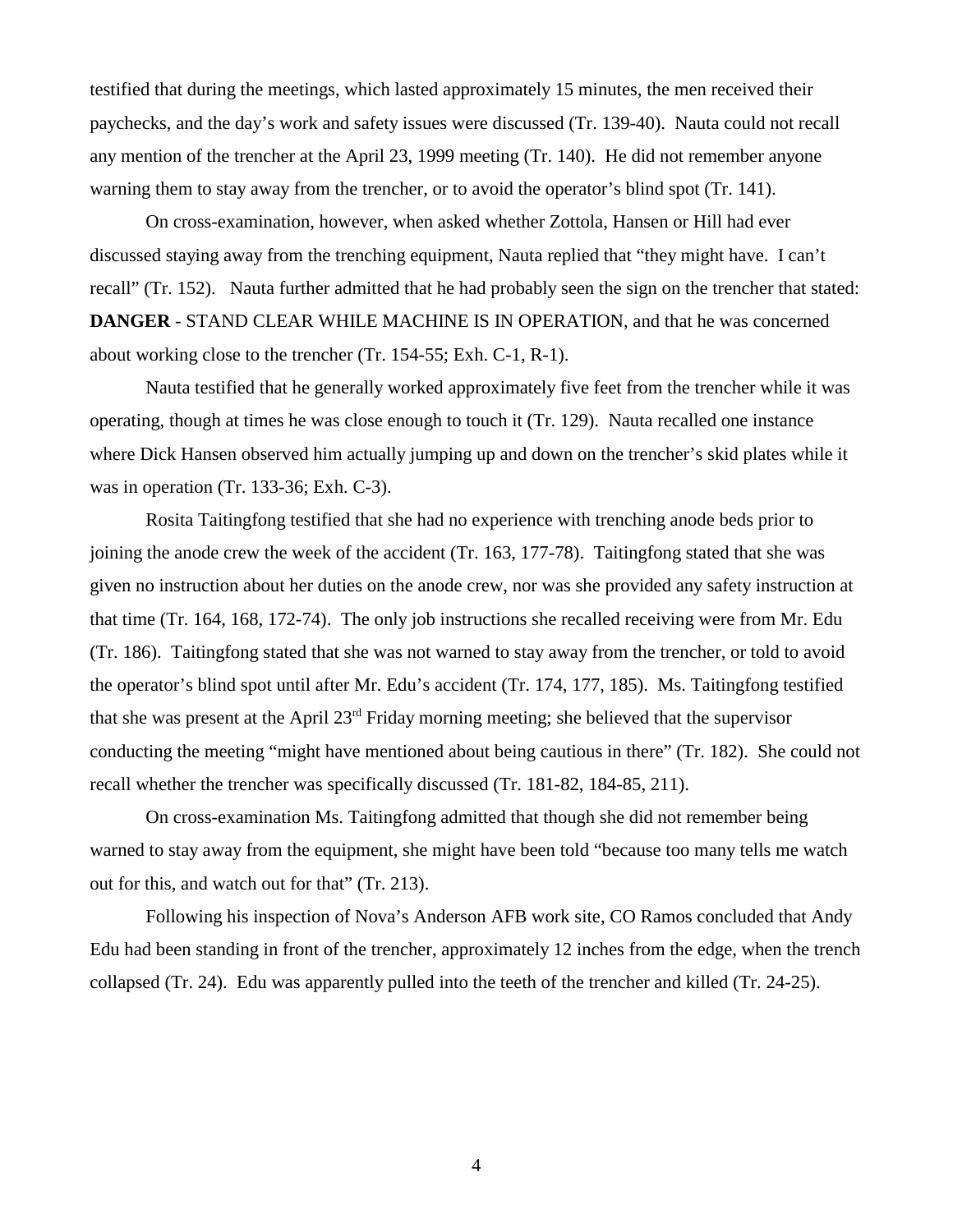testified that during the meetings, which lasted approximately 15 minutes, the men received their paychecks, and the day's work and safety issues were discussed (Tr. 139-40). Nauta could not recall any mention of the trencher at the April 23, 1999 meeting (Tr. 140). He did not remember anyone warning them to stay away from the trencher, or to avoid the operator's blind spot (Tr. 141).

On cross-examination, however, when asked whether Zottola, Hansen or Hill had ever discussed staying away from the trenching equipment, Nauta replied that "they might have. I can't recall" (Tr. 152). Nauta further admitted that he had probably seen the sign on the trencher that stated: **DANGER** - STAND CLEAR WHILE MACHINE IS IN OPERATION, and that he was concerned about working close to the trencher (Tr. 154-55; Exh. C-1, R-1).

Nauta testified that he generally worked approximately five feet from the trencher while it was operating, though at times he was close enough to touch it (Tr. 129). Nauta recalled one instance where Dick Hansen observed him actually jumping up and down on the trencher's skid plates while it was in operation (Tr. 133-36; Exh. C-3).

Rosita Taitingfong testified that she had no experience with trenching anode beds prior to joining the anode crew the week of the accident (Tr. 163, 177-78). Taitingfong stated that she was given no instruction about her duties on the anode crew, nor was she provided any safety instruction at that time (Tr. 164, 168, 172-74). The only job instructions she recalled receiving were from Mr. Edu (Tr. 186). Taitingfong stated that she was not warned to stay away from the trencher, or told to avoid the operator's blind spot until after Mr. Edu's accident (Tr. 174, 177, 185). Ms. Taitingfong testified that she was present at the April 23rd Friday morning meeting; she believed that the supervisor conducting the meeting "might have mentioned about being cautious in there" (Tr. 182). She could not recall whether the trencher was specifically discussed (Tr. 181-82, 184-85, 211).

On cross-examination Ms. Taitingfong admitted that though she did not remember being warned to stay away from the equipment, she might have been told "because too many tells me watch out for this, and watch out for that" (Tr. 213).

Following his inspection of Nova's Anderson AFB work site, CO Ramos concluded that Andy Edu had been standing in front of the trencher, approximately 12 inches from the edge, when the trench collapsed (Tr. 24). Edu was apparently pulled into the teeth of the trencher and killed (Tr. 24-25).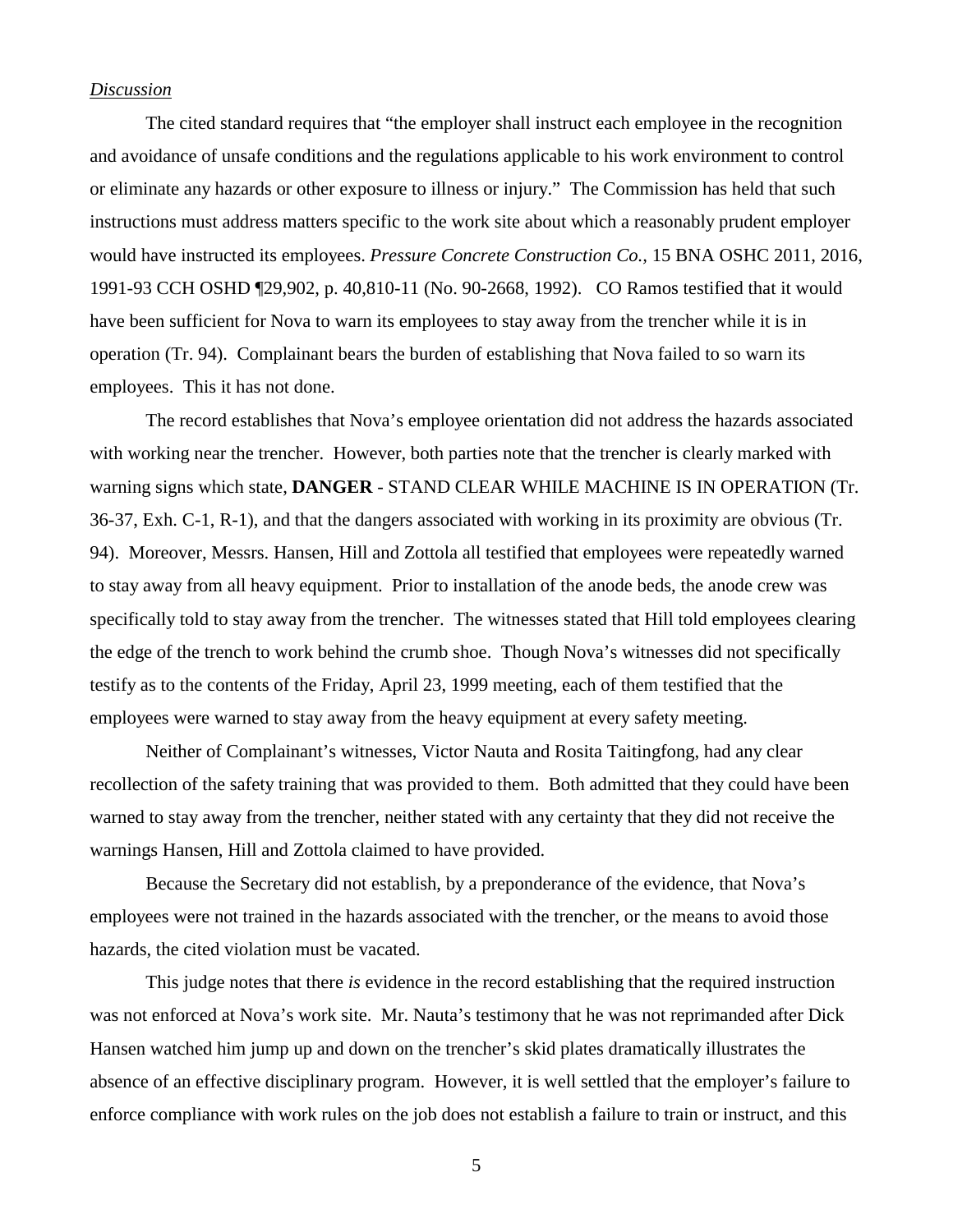### *Discussion*

The cited standard requires that "the employer shall instruct each employee in the recognition and avoidance of unsafe conditions and the regulations applicable to his work environment to control or eliminate any hazards or other exposure to illness or injury." The Commission has held that such instructions must address matters specific to the work site about which a reasonably prudent employer would have instructed its employees. *Pressure Concrete Construction Co.,* 15 BNA OSHC 2011, 2016, 1991-93 CCH OSHD ¶29,902, p. 40,810-11 (No. 90-2668, 1992). CO Ramos testified that it would have been sufficient for Nova to warn its employees to stay away from the trencher while it is in operation (Tr. 94). Complainant bears the burden of establishing that Nova failed to so warn its employees. This it has not done.

 The record establishes that Nova's employee orientation did not address the hazards associated with working near the trencher. However, both parties note that the trencher is clearly marked with warning signs which state, **DANGER** - STAND CLEAR WHILE MACHINE IS IN OPERATION (Tr. 36-37, Exh. C-1, R-1), and that the dangers associated with working in its proximity are obvious (Tr. 94). Moreover, Messrs. Hansen, Hill and Zottola all testified that employees were repeatedly warned to stay away from all heavy equipment. Prior to installation of the anode beds, the anode crew was specifically told to stay away from the trencher. The witnesses stated that Hill told employees clearing the edge of the trench to work behind the crumb shoe. Though Nova's witnesses did not specifically testify as to the contents of the Friday, April 23, 1999 meeting, each of them testified that the employees were warned to stay away from the heavy equipment at every safety meeting.

Neither of Complainant's witnesses, Victor Nauta and Rosita Taitingfong, had any clear recollection of the safety training that was provided to them. Both admitted that they could have been warned to stay away from the trencher, neither stated with any certainty that they did not receive the warnings Hansen, Hill and Zottola claimed to have provided.

Because the Secretary did not establish, by a preponderance of the evidence, that Nova's employees were not trained in the hazards associated with the trencher, or the means to avoid those hazards, the cited violation must be vacated.

This judge notes that there *is* evidence in the record establishing that the required instruction was not enforced at Nova's work site. Mr. Nauta's testimony that he was not reprimanded after Dick Hansen watched him jump up and down on the trencher's skid plates dramatically illustrates the absence of an effective disciplinary program. However, it is well settled that the employer's failure to enforce compliance with work rules on the job does not establish a failure to train or instruct, and this

5